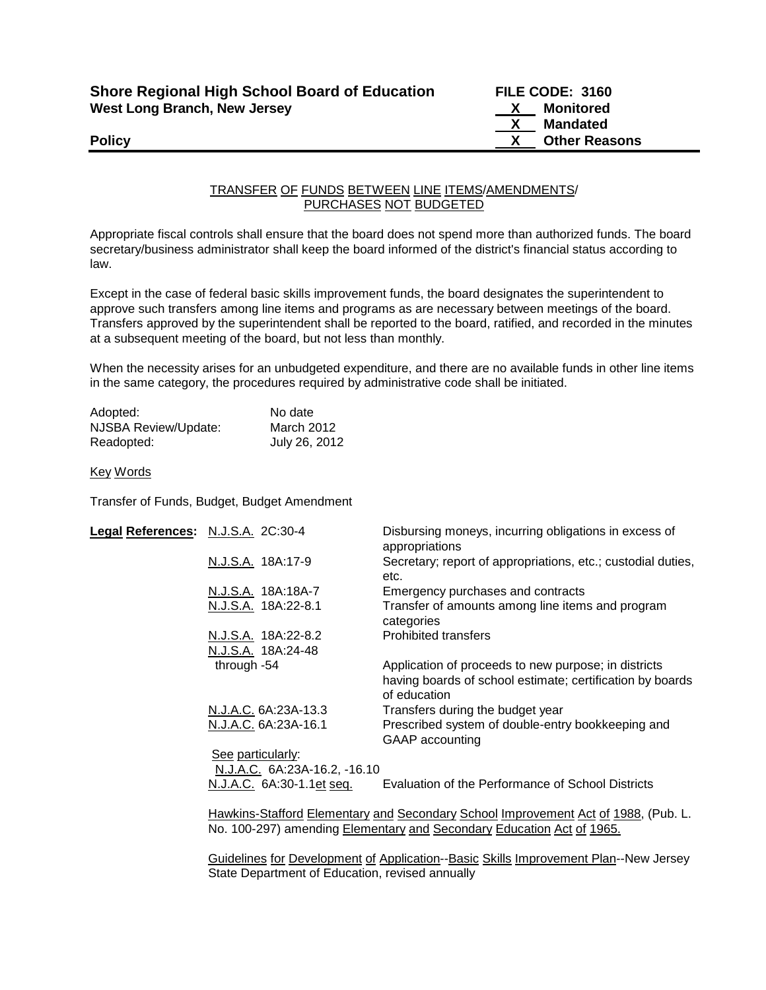| <b>Shore Regional High School Board of Education</b> |  |
|------------------------------------------------------|--|
| <b>West Long Branch, New Jersey</b>                  |  |

**Shore Regional High School Board of Education FILE CODE: 3160 X** Monitored  **X Mandated Policy X** Other Reasons

## TRANSFER OF FUNDS BETWEEN LINE ITEMS/AMENDMENTS/ PURCHASES NOT BUDGETED

Appropriate fiscal controls shall ensure that the board does not spend more than authorized funds. The board secretary/business administrator shall keep the board informed of the district's financial status according to law.

Except in the case of federal basic skills improvement funds, the board designates the superintendent to approve such transfers among line items and programs as are necessary between meetings of the board. Transfers approved by the superintendent shall be reported to the board, ratified, and recorded in the minutes at a subsequent meeting of the board, but not less than monthly.

When the necessity arises for an unbudgeted expenditure, and there are no available funds in other line items in the same category, the procedures required by administrative code shall be initiated.

| Adopted:             | No date       |
|----------------------|---------------|
| NJSBA Review/Update: | March 2012    |
| Readopted:           | July 26, 2012 |

## Key Words

Transfer of Funds, Budget, Budget Amendment

| Legal References: N.J.S.A. 2C:30-4 |                                                   | Disbursing moneys, incurring obligations in excess of<br>appropriations                                                           |
|------------------------------------|---------------------------------------------------|-----------------------------------------------------------------------------------------------------------------------------------|
|                                    | N.J.S.A. 18A:17-9                                 | Secretary; report of appropriations, etc.; custodial duties,<br>etc.                                                              |
|                                    | N.J.S.A. 18A:18A-7                                | Emergency purchases and contracts                                                                                                 |
|                                    | N.J.S.A. 18A:22-8.1                               | Transfer of amounts among line items and program<br>categories                                                                    |
|                                    | N.J.S.A. 18A:22-8.2                               | <b>Prohibited transfers</b>                                                                                                       |
|                                    | N.J.S.A. 18A:24-48                                |                                                                                                                                   |
|                                    | through -54                                       | Application of proceeds to new purpose; in districts<br>having boards of school estimate; certification by boards<br>of education |
|                                    | N.J.A.C. 6A:23A-13.3                              | Transfers during the budget year                                                                                                  |
|                                    | N.J.A.C. 6A:23A-16.1                              | Prescribed system of double-entry bookkeeping and<br>GAAP accounting                                                              |
|                                    | See particularly:<br>N.J.A.C. 6A:23A-16.2, -16.10 |                                                                                                                                   |
|                                    | N.J.A.C. 6A:30-1.1et seq.                         | Evaluation of the Performance of School Districts                                                                                 |
|                                    |                                                   |                                                                                                                                   |

Hawkins-Stafford Elementary and Secondary School Improvement Act of 1988, (Pub. L. No. 100-297) amending Elementary and Secondary Education Act of 1965.

Guidelines for Development of Application--Basic Skills Improvement Plan--New Jersey State Department of Education, revised annually